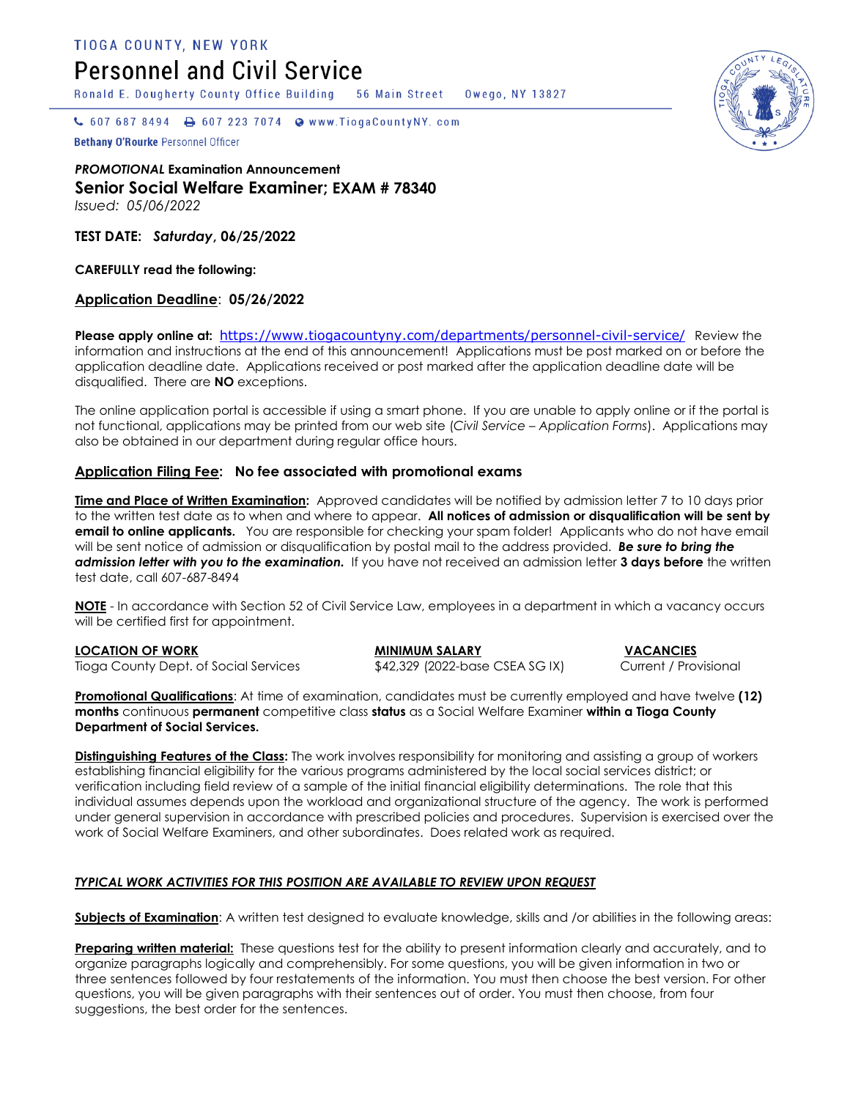**TIOGA COUNTY, NEW YORK** 

# **Personnel and Civil Service**

Ronald E. Dougherty County Office Building

56 Main Street Owego, NY 13827

 $\bullet$  607 687 8494  $\bullet$  607 223 7074  $\bullet$  www.TiogaCountyNY.com

Bethany O'Rourke Personnel Officer

*PROMOTIONAL* **Examination Announcement Senior Social Welfare Examiner; EXAM # 78340** *Issued: 05/06/2022*

**TEST DATE:** *Saturday***, 06/25/2022**

**CAREFULLY read the following:**

### **Application Deadline**: **05/26/2022**

Please apply online at: [https://www.tiogacountyny.com/departments/personnel-civil-service/](https://u2769118.ct.sendgrid.net/wf/click?upn=uYMm-2FEoLyqOdZS3CMRUeSFGihkD-2BiXtKNApljFoqh37xE-2FNreP0IuuAewtQfdueSW-2BpZy-2BfUjR-2FVCpwM9UdVnfnA2TICkwcwxjX32sKOAcA-3D_RHlXTVCoP695cOfBMAOclRzrqvDLoKyOL-2FTu445atF7ZnzqGbq1-2FxcU2Ex3YOQ0i2bCQ68DOHw3Rjlxl9EWGS1-2FyJeJd0d0p9osBuaiWLdell4jO3-2FwPyLBPcZkZNpVzP83dxTny-2BvDQ3gZ6fMUyCmrf4jYRNo-2FITDTXG93CfxJWnZWTVhtmLOAzAcqCH968glVJmNl28m5M6FLLUSvm2m4vacNNvHVvBK7hf0OXq-2Bs-3D) Review the information and instructions at the end of this announcement! Applications must be post marked on or before the application deadline date. Applications received or post marked after the application deadline date will be disqualified. There are **NO** exceptions.

The online application portal is accessible if using a smart phone. If you are unable to apply online or if the portal is not functional, applications may be printed from our web site (*Civil Service – Application Forms*). Applications may also be obtained in our department during regular office hours.

### **Application Filing Fee: No fee associated with promotional exams**

**Time and Place of Written Examination:** Approved candidates will be notified by admission letter 7 to 10 days prior to the written test date as to when and where to appear. **All notices of admission or disqualification will be sent by email to online applicants.** You are responsible for checking your spam folder!Applicants who do not have email will be sent notice of admission or disqualification by postal mail to the address provided. *Be sure to bring the admission letter with you to the examination.* If you have not received an admission letter **3 days before** the written test date, call 607-687-8494

**NOTE** - In accordance with Section 52 of Civil Service Law, employees in a department in which a vacancy occurs will be certified first for appointment.

**LOCATION OF WORK MINIMUM SALARY VACANCIES** Tioga County Dept. of Social Services  $$42,329$  (2022-base CSEA SG IX) Current / Provisional

**Promotional Qualifications**: At time of examination, candidates must be currently employed and have twelve **(12) months** continuous **permanent** competitive class **status** as a Social Welfare Examiner **within a Tioga County Department of Social Services.** 

**Distinguishing Features of the Class:** The work involves responsibility for monitoring and assisting a group of workers establishing financial eligibility for the various programs administered by the local social services district; or verification including field review of a sample of the initial financial eligibility determinations. The role that this individual assumes depends upon the workload and organizational structure of the agency. The work is performed under general supervision in accordance with prescribed policies and procedures. Supervision is exercised over the work of Social Welfare Examiners, and other subordinates. Does related work as required.

### *TYPICAL WORK ACTIVITIES FOR THIS POSITION ARE AVAILABLE TO REVIEW UPON REQUEST*

**Subjects of Examination**: A written test designed to evaluate knowledge, skills and /or abilities in the following areas:

**Preparing written material:** These questions test for the ability to present information clearly and accurately, and to organize paragraphs logically and comprehensibly. For some questions, you will be given information in two or three sentences followed by four restatements of the information. You must then choose the best version. For other questions, you will be given paragraphs with their sentences out of order. You must then choose, from four suggestions, the best order for the sentences.

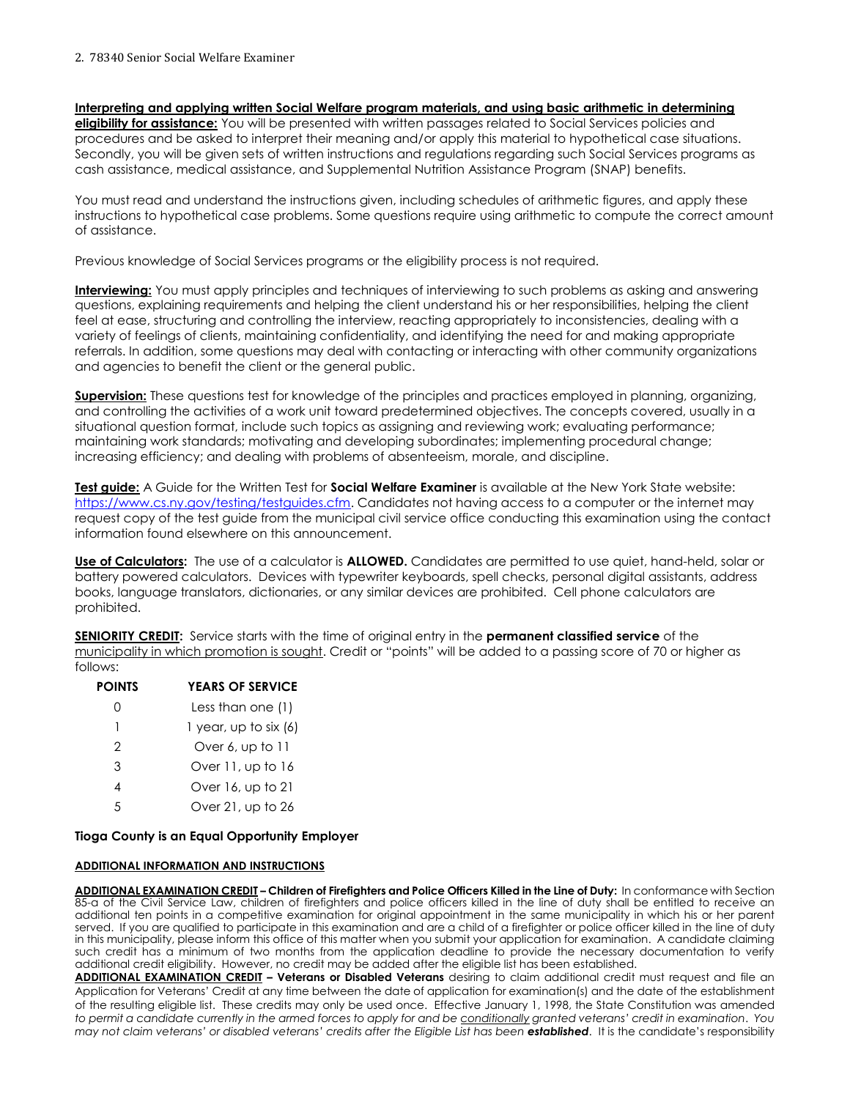## **Interpreting and applying written Social Welfare program materials, and using basic arithmetic in determining**

**eligibility for assistance:** You will be presented with written passages related to Social Services policies and procedures and be asked to interpret their meaning and/or apply this material to hypothetical case situations. Secondly, you will be given sets of written instructions and regulations regarding such Social Services programs as cash assistance, medical assistance, and Supplemental Nutrition Assistance Program (SNAP) benefits.

You must read and understand the instructions given, including schedules of arithmetic figures, and apply these instructions to hypothetical case problems. Some questions require using arithmetic to compute the correct amount of assistance.

Previous knowledge of Social Services programs or the eligibility process is not required.

**Interviewing:** You must apply principles and techniques of interviewing to such problems as asking and answering questions, explaining requirements and helping the client understand his or her responsibilities, helping the client feel at ease, structuring and controlling the interview, reacting appropriately to inconsistencies, dealing with a variety of feelings of clients, maintaining confidentiality, and identifying the need for and making appropriate referrals. In addition, some questions may deal with contacting or interacting with other community organizations and agencies to benefit the client or the general public.

**Supervision:** These questions test for knowledge of the principles and practices employed in planning, organizing, and controlling the activities of a work unit toward predetermined objectives. The concepts covered, usually in a situational question format, include such topics as assigning and reviewing work; evaluating performance; maintaining work standards; motivating and developing subordinates; implementing procedural change; increasing efficiency; and dealing with problems of absenteeism, morale, and discipline.

**Test guide:** A Guide for the Written Test for **Social Welfare Examiner** is available at the New York State website: [https://www.cs.ny.gov/testing/testguides.cfm.](https://www.cs.ny.gov/testing/testguides.cfm) Candidates not having access to a computer or the internet may request copy of the test guide from the municipal civil service office conducting this examination using the contact information found elsewhere on this announcement.

**Use of Calculators:** The use of a calculator is **ALLOWED.** Candidates are permitted to use quiet, hand-held, solar or battery powered calculators. Devices with typewriter keyboards, spell checks, personal digital assistants, address books, language translators, dictionaries, or any similar devices are prohibited. Cell phone calculators are prohibited.

**SENIORITY CREDIT:** Service starts with the time of original entry in the **permanent classified service** of the municipality in which promotion is sought. Credit or "points" will be added to a passing score of 70 or higher as follows:

| <b>POINTS</b> | <b>YEARS OF SERVICE</b> |
|---------------|-------------------------|
|               | Less than one (1)       |
|               | 1 year, up to six $(6)$ |
| 2             | Over 6, up to 11        |
| 3             | Over 11, up to 16       |
| 4             | Over 16, up to 21       |
| 5             | Over 21, up to 26       |
|               |                         |

### **Tioga County is an Equal Opportunity Employer**

#### **ADDITIONAL INFORMATION AND INSTRUCTIONS**

**ADDITIONAL EXAMINATION CREDIT – Children of Firefighters and Police Officers Killed in the Line of Duty:** In conformance with Section 85-a of the Civil Service Law, children of firefighters and police officers killed in the line of duty shall be entitled to receive an additional ten points in a competitive examination for original appointment in the same municipality in which his or her parent served. If you are qualified to participate in this examination and are a child of a firefighter or police officer killed in the line of duty in this municipality, please inform this office of this matter when you submit your application for examination. A candidate claiming such credit has a minimum of two months from the application deadline to provide the necessary documentation to verify additional credit eligibility. However, no credit may be added after the eligible list has been established.

**ADDITIONAL EXAMINATION CREDIT – Veterans or Disabled Veterans** desiring to claim additional credit must request and file an Application for Veterans' Credit at any time between the date of application for examination(s) and the date of the establishment of the resulting eligible list. These credits may only be used once. Effective January 1, 1998, the State Constitution was amended *to permit a candidate currently in the armed forces to apply for and be conditionally granted veterans' credit in examination*. *You may not claim veterans' or disabled veterans' credits after the Eligible List has been established*. It is the candidate's responsibility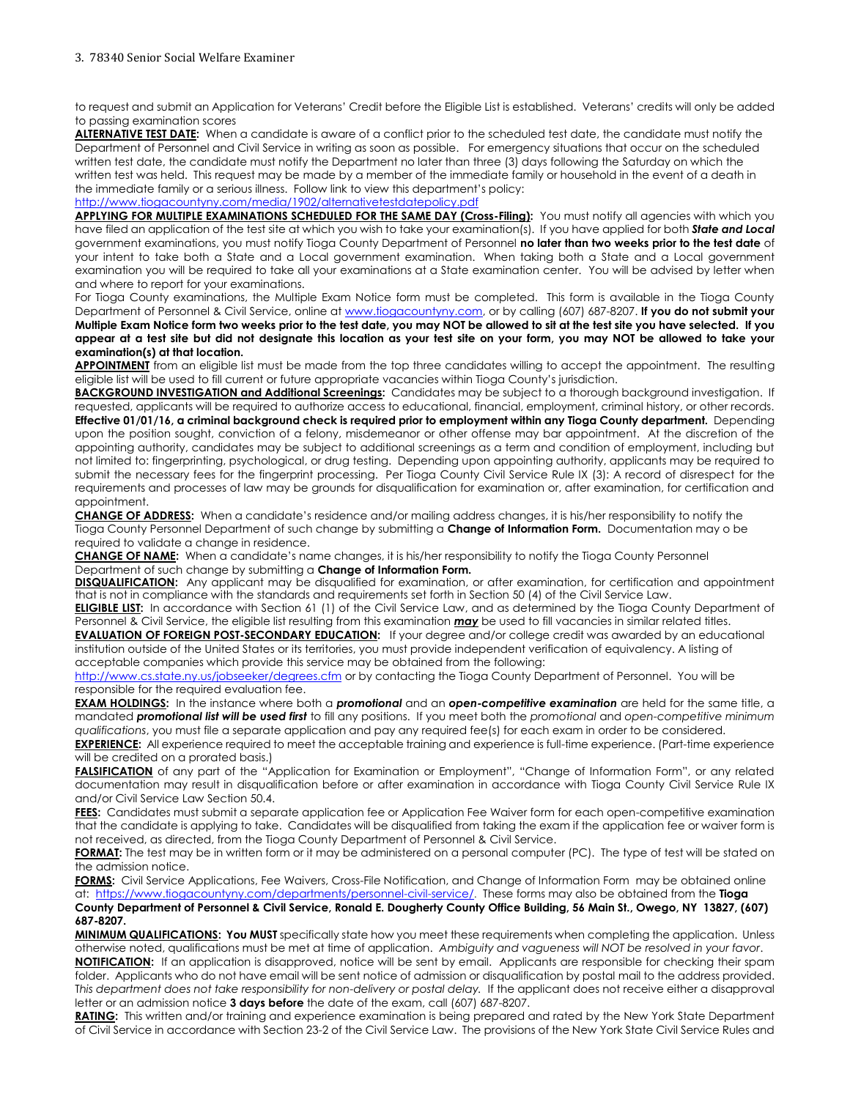to request and submit an Application for Veterans' Credit before the Eligible List is established. Veterans' credits will only be added to passing examination scores

**ALTERNATIVE TEST DATE:** When a candidate is aware of a conflict prior to the scheduled test date, the candidate must notify the Department of Personnel and Civil Service in writing as soon as possible. For emergency situations that occur on the scheduled written test date, the candidate must notify the Department no later than three (3) days following the Saturday on which the written test was held. This request may be made by a member of the immediate family or household in the event of a death in the immediate family or a serious illness. Follow link to view this department's policy:

<http://www.tiogacountyny.com/media/1902/alternativetestdatepolicy.pdf>

APPLYING FOR MULTIPLE EXAMINATIONS SCHEDULED FOR THE SAME DAY (Cross-Filing): You must notify all agencies with which you have filed an application of the test site at which you wish to take your examination(s). If you have applied for both *State and Local* government examinations, you must notify Tioga County Department of Personnel **no later than two weeks prior to the test date** of your intent to take both a State and a Local government examination. When taking both a State and a Local government examination you will be required to take all your examinations at a State examination center. You will be advised by letter when and where to report for your examinations.

For Tioga County examinations, the Multiple Exam Notice form must be completed. This form is available in the Tioga County Department of Personnel & Civil Service, online a[t www.tiogacountyny.com,](http://www.tiogacountyny.com/) or by calling (607) 687-8207. **If you do not submit your Multiple Exam Notice form two weeks prior to the test date, you may NOT be allowed to sit at the test site you have selected. If you appear at a test site but did not designate this location as your test site on your form, you may NOT be allowed to take your examination(s) at that location.**

**APPOINTMENT** from an eligible list must be made from the top three candidates willing to accept the appointment. The resulting eligible list will be used to fill current or future appropriate vacancies within Tioga County's jurisdiction.

**BACKGROUND INVESTIGATION and Additional Screenings:** Candidates may be subject to a thorough background investigation. If requested, applicants will be required to authorize access to educational, financial, employment, criminal history, or other records. **Effective 01/01/16, a criminal background check is required prior to employment within any Tioga County department.** Depending upon the position sought, conviction of a felony, misdemeanor or other offense may bar appointment. At the discretion of the appointing authority, candidates may be subject to additional screenings as a term and condition of employment, including but not limited to: fingerprinting, psychological, or drug testing. Depending upon appointing authority, applicants may be required to submit the necessary fees for the fingerprint processing. Per Tioga County Civil Service Rule IX (3): A record of disrespect for the requirements and processes of law may be grounds for disqualification for examination or, after examination, for certification and appointment.

**CHANGE OF ADDRESS:** When a candidate's residence and/or mailing address changes, it is his/her responsibility to notify the Tioga County Personnel Department of such change by submitting a **Change of Information Form.** Documentation may o be required to validate a change in residence.

**CHANGE OF NAME:** When a candidate's name changes, it is his/her responsibility to notify the Tioga County Personnel Department of such change by submitting a **Change of Information Form.** 

**DISQUALIFICATION:** Any applicant may be disqualified for examination, or after examination, for certification and appointment that is not in compliance with the standards and requirements set forth in Section 50 (4) of the Civil Service Law.

**ELIGIBLE LIST:** In accordance with Section 61 (1) of the Civil Service Law, and as determined by the Tioga County Department of Personnel & Civil Service, the eligible list resulting from this examination *may* be used to fill vacancies in similar related titles.

**EVALUATION OF FOREIGN POST-SECONDARY EDUCATION:** If your degree and/or college credit was awarded by an educational institution outside of the United States or its territories, you must provide independent verification of equivalency. A listing of acceptable companies which provide this service may be obtained from the following:

<http://www.cs.state.ny.us/jobseeker/degrees.cfm> or by contacting the Tioga County Department of Personnel. You will be responsible for the required evaluation fee.

**EXAM HOLDINGS:** In the instance where both a *promotional* and an *open-competitive examination* are held for the same title, a mandated *promotional list will be used first* to fill any positions. If you meet both the *promotional* and *open-competitive minimum qualifications*, you must file a separate application and pay any required fee(s) for each exam in order to be considered. **EXPERIENCE:** All experience required to meet the acceptable training and experience is full-time experience. (Part-time experience

will be credited on a prorated basis.)

**FALSIFICATION** of any part of the "Application for Examination or Employment", "Change of Information Form", or any related documentation may result in disqualification before or after examination in accordance with Tioga County Civil Service Rule IX and/or Civil Service Law Section 50.4.

**FEES:** Candidates must submit a separate application fee or Application Fee Waiver form for each open-competitive examination that the candidate is applying to take. Candidates will be disqualified from taking the exam if the application fee or waiver form is not received, as directed, from the Tioga County Department of Personnel & Civil Service.

**FORMAT:** The test may be in written form or it may be administered on a personal computer (PC). The type of test will be stated on the admission notice.

**FORMS:** Civil Service Applications, Fee Waivers, Cross-File Notification, and Change of Information Form may be obtained online at: [https://www.tiogacountyny.com/departments/personnel-civil-service/.](https://u2769118.ct.sendgrid.net/wf/click?upn=uYMm-2FEoLyqOdZS3CMRUeSFGihkD-2BiXtKNApljFoqh37xE-2FNreP0IuuAewtQfdueSW-2BpZy-2BfUjR-2FVCpwM9UdVnfnA2TICkwcwxjX32sKOAcA-3D_RHlXTVCoP695cOfBMAOclRzrqvDLoKyOL-2FTu445atF7ZnzqGbq1-2FxcU2Ex3YOQ0i2bCQ68DOHw3Rjlxl9EWGS1-2FyJeJd0d0p9osBuaiWLdell4jO3-2FwPyLBPcZkZNpVzP83dxTny-2BvDQ3gZ6fMUyCmrf4jYRNo-2FITDTXG93CfxJWnZWTVhtmLOAzAcqCH968glVJmNl28m5M6FLLUSvm2m4vacNNvHVvBK7hf0OXq-2Bs-3D) These forms may also be obtained from the **Tioga County Department of Personnel & Civil Service, Ronald E. Dougherty County Office Building, 56 Main St., Owego, NY 13827, (607) 687-8207.**

**MINIMUM QUALIFICATIONS: You MUST** specifically state how you meet these requirements when completing the application. Unless otherwise noted, qualifications must be met at time of application. *Ambiguity and vagueness will NOT be resolved in your favor*. **NOTIFICATION:** If an application is disapproved, notice will be sent by email. Applicants are responsible for checking their spam folder.Applicants who do not have email will be sent notice of admission or disqualification by postal mail to the address provided. T*his department does not take responsibility for non-delivery or postal delay.* If the applicant does not receive either a disapproval letter or an admission notice **3 days before** the date of the exam, call (607) 687-8207.

**RATING:** This written and/or training and experience examination is being prepared and rated by the New York State Department of Civil Service in accordance with Section 23-2 of the Civil Service Law. The provisions of the New York State Civil Service Rules and